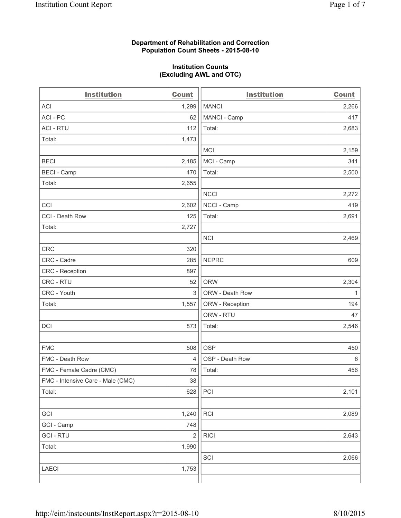## **Department of Rehabilitation and Correction Population Count Sheets - 2015-08-10**

## **Institution Counts (Excluding AWL and OTC)**

| <b>Institution</b>                | <b>Count</b>   | <b>Institution</b> | <b>Count</b> |
|-----------------------------------|----------------|--------------------|--------------|
| <b>ACI</b>                        | 1,299          | <b>MANCI</b>       | 2,266        |
| ACI-PC                            | 62             | MANCI - Camp       | 417          |
| <b>ACI - RTU</b>                  | 112            | Total:             | 2,683        |
| Total:                            | 1,473          |                    |              |
|                                   |                | <b>MCI</b>         | 2,159        |
| <b>BECI</b>                       | 2,185          | MCI - Camp         | 341          |
| <b>BECI - Camp</b>                | 470            | Total:             | 2,500        |
| Total:                            | 2,655          |                    |              |
|                                   |                | <b>NCCI</b>        | 2,272        |
| CCI                               | 2,602          | NCCI - Camp        | 419          |
| CCI - Death Row                   | 125            | Total:             | 2,691        |
| Total:                            | 2,727          |                    |              |
|                                   |                | <b>NCI</b>         | 2,469        |
| <b>CRC</b>                        | 320            |                    |              |
| CRC - Cadre                       | 285            | <b>NEPRC</b>       | 609          |
| CRC - Reception                   | 897            |                    |              |
| CRC - RTU                         | 52             | <b>ORW</b>         | 2,304        |
| CRC - Youth                       | 3              | ORW - Death Row    | 1            |
| Total:                            | 1,557          | ORW - Reception    | 194          |
|                                   |                | ORW - RTU          | 47           |
| DCI                               | 873            | Total:             | 2,546        |
|                                   |                |                    |              |
| <b>FMC</b>                        | 508            | <b>OSP</b>         | 450          |
| FMC - Death Row                   | $\overline{4}$ | OSP - Death Row    | 6            |
| FMC - Female Cadre (CMC)          | 78             | Total:             | 456          |
| FMC - Intensive Care - Male (CMC) | 38             |                    |              |
| Total:                            | 628            | PCI                | 2,101        |
|                                   |                |                    |              |
| GCI                               | 1,240          | <b>RCI</b>         | 2,089        |
| GCI - Camp                        | 748            |                    |              |
| <b>GCI-RTU</b>                    | $\overline{2}$ | <b>RICI</b>        | 2,643        |
| Total:                            | 1,990          |                    |              |
|                                   |                | SCI                | 2,066        |
| <b>LAECI</b>                      | 1,753          |                    |              |
|                                   |                |                    |              |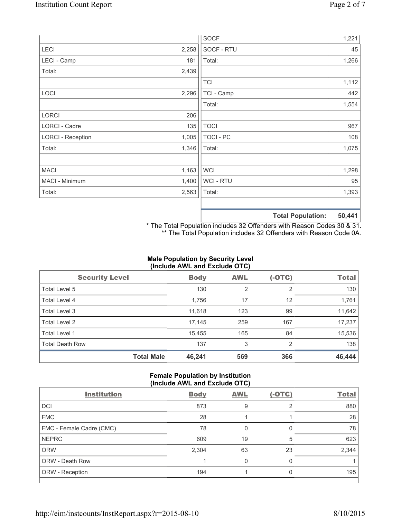|                          |       | <b>SOCF</b> | 1,221                       |
|--------------------------|-------|-------------|-----------------------------|
| LECI                     | 2,258 | SOCF - RTU  | 45                          |
| LECI - Camp              | 181   | Total:      | 1,266                       |
| Total:                   | 2,439 |             |                             |
|                          |       | <b>TCI</b>  | 1,112                       |
| LOCI                     | 2,296 | TCI - Camp  | 442                         |
|                          |       | Total:      | 1,554                       |
| <b>LORCI</b>             | 206   |             |                             |
| LORCI - Cadre            | 135   | <b>TOCI</b> | 967                         |
| <b>LORCI - Reception</b> | 1,005 | TOCI - PC   | 108                         |
| Total:                   | 1,346 | Total:      | 1,075                       |
|                          |       |             |                             |
| <b>MACI</b>              | 1,163 | <b>WCI</b>  | 1,298                       |
| MACI - Minimum           | 1,400 | WCI - RTU   | 95                          |
| Total:                   | 2,563 | Total:      | 1,393                       |
|                          |       |             |                             |
|                          |       |             | EN AAA<br>Total Dopulation: |

**Total Population: 50,441**

\* The Total Population includes 32 Offenders with Reason Codes 30 & 31. \*\* The Total Population includes 32 Offenders with Reason Code 0A.

# **Male Population by Security Level (Include AWL and Exclude OTC)**

| <b>Security Level</b>  |                   | <b>Body</b> | <b>AWL</b> | $(-OTC)$ | <b>Total</b> |
|------------------------|-------------------|-------------|------------|----------|--------------|
| Total Level 5          |                   | 130         | 2          | 2        | 130          |
| <b>Total Level 4</b>   |                   | 1,756       | 17         | 12       | 1,761        |
| Total Level 3          |                   | 11,618      | 123        | 99       | 11,642       |
| Total Level 2          |                   | 17,145      | 259        | 167      | 17,237       |
| <b>Total Level 1</b>   |                   | 15,455      | 165        | 84       | 15,536       |
| <b>Total Death Row</b> |                   | 137         | 3          | 2        | 138          |
|                        | <b>Total Male</b> | 46,241      | 569        | 366      | 46,444       |

#### **Female Population by Institution (Include AWL and Exclude OTC)**

| <b>Institution</b>       | <b>Body</b> | <b>AWL</b> | $(-OTC)$ | <b>Total</b> |  |  |  |
|--------------------------|-------------|------------|----------|--------------|--|--|--|
| <b>DCI</b>               | 873         | 9          | 2        | 880          |  |  |  |
| <b>FMC</b>               | 28          |            |          | 28           |  |  |  |
| FMC - Female Cadre (CMC) | 78          | 0          | 0        | 78           |  |  |  |
| <b>NEPRC</b>             | 609         | 19         | 5        | 623          |  |  |  |
| <b>ORW</b>               | 2,304       | 63         | 23       | 2,344        |  |  |  |
| <b>ORW - Death Row</b>   |             | 0          | 0        |              |  |  |  |
| ORW - Reception          | 194         |            | 0        | 195          |  |  |  |
|                          |             |            |          |              |  |  |  |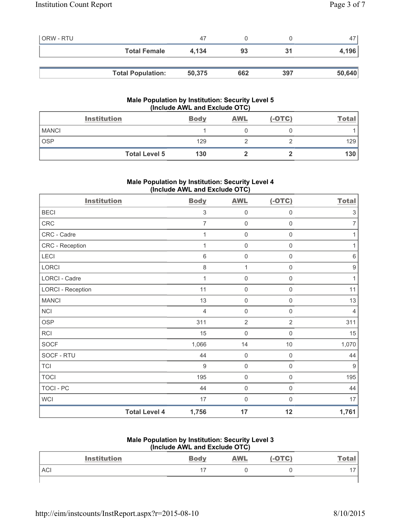| <b>ORW - RTU</b> |                          | 47     |     |     | 47     |
|------------------|--------------------------|--------|-----|-----|--------|
|                  | <b>Total Female</b>      | 4.134  | 93  | 31  | 4,196  |
|                  |                          |        |     |     |        |
|                  | <b>Total Population:</b> | 50,375 | 662 | 397 | 50,640 |

# **Male Population by Institution: Security Level 5 (Include AWL and Exclude OTC)**

|              | <b>Institution</b>   | <b>Body</b> | <b>AWL</b> | $(-OTC)$ | <b>Total</b> |
|--------------|----------------------|-------------|------------|----------|--------------|
| <b>MANCI</b> |                      |             |            |          |              |
| <b>OSP</b>   |                      | 129         |            |          | 129          |
|              | <b>Total Level 5</b> | 130         |            |          | 130          |

# **Male Population by Institution: Security Level 4 (Include AWL and Exclude OTC)**

| <b>Institution</b>       |                      | <b>Body</b>    | <b>AWL</b>          | $(-OTC)$            | <b>Total</b>              |
|--------------------------|----------------------|----------------|---------------------|---------------------|---------------------------|
| <b>BECI</b>              |                      | $\sqrt{3}$     | 0                   | $\boldsymbol{0}$    | $\ensuremath{\mathsf{3}}$ |
| CRC                      |                      | $\overline{7}$ | $\mathsf{O}\xspace$ | $\mathsf{O}\xspace$ | $\overline{7}$            |
| CRC - Cadre              |                      | 1              | $\mathsf{O}\xspace$ | $\mathsf{O}\xspace$ | 1                         |
| CRC - Reception          |                      | 1              | 0                   | $\boldsymbol{0}$    | 1                         |
| LECI                     |                      | $\,6$          | $\mathsf{O}\xspace$ | $\mathsf{O}\xspace$ | $\,6$                     |
| <b>LORCI</b>             |                      | 8              | $\mathbf{1}$        | $\mathsf 0$         | $\boldsymbol{9}$          |
| <b>LORCI - Cadre</b>     |                      | 1              | 0                   | $\mathsf 0$         | $\mathbf{1}$              |
| <b>LORCI - Reception</b> |                      | 11             | $\mathsf{O}\xspace$ | $\mathsf{O}\xspace$ | 11                        |
| <b>MANCI</b>             |                      | 13             | $\mathsf{O}\xspace$ | $\boldsymbol{0}$    | 13                        |
| <b>NCI</b>               |                      | $\overline{4}$ | 0                   | $\mathbf 0$         | $\overline{4}$            |
| <b>OSP</b>               |                      | 311            | $\overline{2}$      | $\overline{2}$      | 311                       |
| <b>RCI</b>               |                      | 15             | 0                   | $\boldsymbol{0}$    | 15                        |
| <b>SOCF</b>              |                      | 1,066          | 14                  | $10$                | 1,070                     |
| SOCF - RTU               |                      | 44             | $\mathsf{O}\xspace$ | $\mathsf 0$         | 44                        |
| <b>TCI</b>               |                      | $\overline{9}$ | 0                   | $\mathsf{O}\xspace$ | $9\,$                     |
| <b>TOCI</b>              |                      | 195            | $\mathsf{O}\xspace$ | 0                   | 195                       |
| TOCI - PC                |                      | 44             | $\mathbf 0$         | $\mathbf 0$         | 44                        |
| <b>WCI</b>               |                      | 17             | $\mathbf 0$         | 0                   | 17                        |
|                          | <b>Total Level 4</b> | 1,756          | 17                  | 12                  | 1,761                     |

#### **Male Population by Institution: Security Level 3 (Include AWL and Exclude OTC)**

| <b>Institution</b> | THURS AND AND LACIUS OT UP<br><b>Body</b> | <b>AWL</b> | (-OTC) | Total |
|--------------------|-------------------------------------------|------------|--------|-------|
| <b>ACI</b>         |                                           |            |        |       |
|                    |                                           |            |        |       |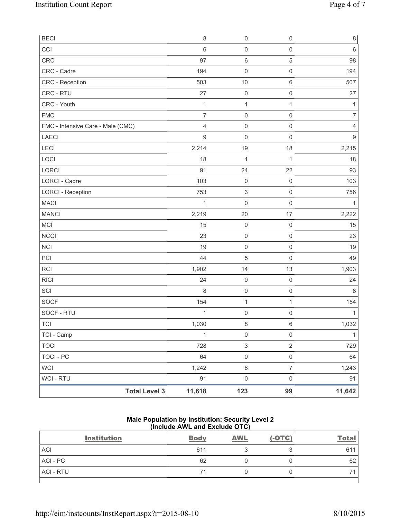| <b>BECI</b>                       |                      | 8              | $\mathsf{O}\xspace$       | $\mathsf{O}\xspace$ | $\,8\,$          |
|-----------------------------------|----------------------|----------------|---------------------------|---------------------|------------------|
| CCI                               |                      | $6\phantom{1}$ | $\mathsf{O}\xspace$       | $\mathsf{O}\xspace$ | $\,6\,$          |
| CRC                               |                      | 97             | $\,6\,$                   | 5                   | 98               |
| CRC - Cadre                       |                      | 194            | $\mathsf{O}\xspace$       | $\mathsf{O}\xspace$ | 194              |
| CRC - Reception                   |                      | 503            | 10                        | $\,6\,$             | 507              |
| CRC - RTU                         |                      | 27             | $\mathbf 0$               | 0                   | 27               |
| CRC - Youth                       |                      | $\mathbf{1}$   | $\mathbf{1}$              | $\mathbf{1}$        | 1                |
| <b>FMC</b>                        |                      | $\overline{7}$ | $\mathsf{O}\xspace$       | $\mathsf{O}\xspace$ | $\overline{7}$   |
| FMC - Intensive Care - Male (CMC) |                      | $\overline{4}$ | $\mathsf{O}\xspace$       | $\mathsf{O}\xspace$ | $\overline{4}$   |
| LAECI                             |                      | $\mathsf g$    | $\mathsf{O}\xspace$       | $\mathsf{O}\xspace$ | $\boldsymbol{9}$ |
| LECI                              |                      | 2,214          | 19                        | 18                  | 2,215            |
| LOCI                              |                      | 18             | $\mathbf{1}$              | $\mathbf{1}$        | 18               |
| <b>LORCI</b>                      |                      | 91             | 24                        | 22                  | 93               |
| LORCI - Cadre                     |                      | 103            | $\mathsf{O}\xspace$       | $\mathsf 0$         | 103              |
| <b>LORCI - Reception</b>          |                      | 753            | $\ensuremath{\mathsf{3}}$ | $\mathsf{O}\xspace$ | 756              |
| <b>MACI</b>                       |                      | 1              | $\mathbf 0$               | $\boldsymbol{0}$    | 1                |
| <b>MANCI</b>                      |                      | 2,219          | 20                        | 17                  | 2,222            |
| MCI                               |                      | 15             | $\mathsf{O}\xspace$       | $\mathsf{O}\xspace$ | 15               |
| <b>NCCI</b>                       |                      | 23             | $\mathsf{O}\xspace$       | $\mathsf 0$         | 23               |
| <b>NCI</b>                        |                      | 19             | $\mathsf{O}\xspace$       | $\mathsf 0$         | 19               |
| PCI                               |                      | 44             | 5                         | $\mathbf 0$         | 49               |
| <b>RCI</b>                        |                      | 1,902          | 14                        | 13                  | 1,903            |
| <b>RICI</b>                       |                      | 24             | $\mathsf{O}\xspace$       | $\mathsf{O}\xspace$ | 24               |
| SCI                               |                      | 8              | $\boldsymbol{0}$          | $\mathsf 0$         | $\,8\,$          |
| <b>SOCF</b>                       |                      | 154            | $\mathbf 1$               | $\mathbf{1}$        | 154              |
| SOCF - RTU                        |                      | 1              | $\boldsymbol{0}$          | $\mathsf{O}\xspace$ | 1                |
| <b>TCI</b>                        |                      | 1,030          | $\,8\,$                   | 6                   | 1,032            |
| TCI - Camp                        |                      | $\mathbf{1}$   | $\mathsf 0$               | $\mathsf 0$         | $\mathbf{1}$     |
| <b>TOCI</b>                       |                      | 728            | 3                         | $\overline{2}$      | 729              |
| TOCI - PC                         |                      | 64             | $\mathsf{O}\xspace$       | $\mathsf{O}\xspace$ | 64               |
| <b>WCI</b>                        |                      | 1,242          | $\,8\,$                   | $\overline{7}$      | 1,243            |
| WCI - RTU                         |                      | 91             | $\mathsf{O}\xspace$       | $\mathsf{O}\xspace$ | 91               |
|                                   | <b>Total Level 3</b> | 11,618         | 123                       | 99                  | 11,642           |

## **Male Population by Institution: Security Level 2 (Include AWL and Exclude OTC)**

| <b>Institution</b> | <b>Body</b> | <b>AWL</b> | $(-OTC)$ | <b>Total</b> |
|--------------------|-------------|------------|----------|--------------|
| <b>ACI</b>         | 611         |            |          | 611          |
| ACI - PC           | 62          |            |          | 62           |
| <b>ACI - RTU</b>   | 71          |            |          | ⇁            |
|                    |             |            |          |              |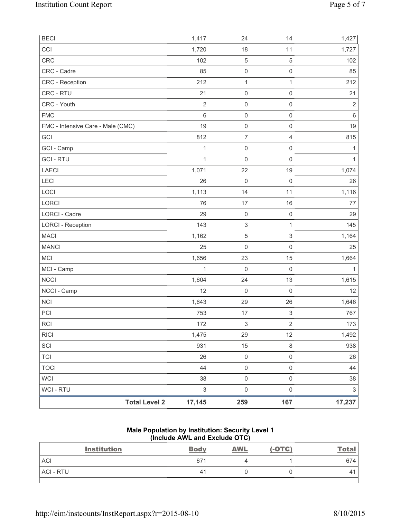| <b>BECI</b>                       | 1,417                     | 24                        | 14                        | 1,427          |
|-----------------------------------|---------------------------|---------------------------|---------------------------|----------------|
| CCI                               | 1,720                     | 18                        | 11                        | 1,727          |
| <b>CRC</b>                        | 102                       | $\sqrt{5}$                | $\sqrt{5}$                | 102            |
| CRC - Cadre                       | 85                        | 0                         | $\mathsf 0$               | 85             |
| CRC - Reception                   | 212                       | $\mathbf{1}$              | $\mathbf{1}$              | 212            |
| CRC - RTU                         | 21                        | 0                         | $\mathsf 0$               | 21             |
| CRC - Youth                       | $\overline{2}$            | $\mathsf 0$               | $\mathsf 0$               | $\overline{2}$ |
| <b>FMC</b>                        | $\,6$                     | $\mathsf{O}\xspace$       | $\mathsf{O}\xspace$       | $\,6\,$        |
| FMC - Intensive Care - Male (CMC) | 19                        | 0                         | $\mathsf 0$               | 19             |
| GCI                               | 812                       | $\overline{7}$            | $\overline{4}$            | 815            |
| GCI - Camp                        | $\mathbf{1}$              | 0                         | $\mathsf 0$               | 1              |
| <b>GCI-RTU</b>                    | $\mathbf{1}$              | $\mathsf 0$               | $\mathsf 0$               | $\mathbf{1}$   |
| <b>LAECI</b>                      | 1,071                     | 22                        | 19                        | 1,074          |
| LECI                              | 26                        | $\mathsf{O}\xspace$       | $\mathsf 0$               | 26             |
| LOCI                              | 1,113                     | 14                        | 11                        | 1,116          |
| LORCI                             | 76                        | 17                        | 16                        | 77             |
| <b>LORCI - Cadre</b>              | 29                        | $\mathsf{O}\xspace$       | $\mathsf{O}\xspace$       | 29             |
| <b>LORCI - Reception</b>          | 143                       | $\ensuremath{\mathsf{3}}$ | $\mathbf{1}$              | 145            |
| <b>MACI</b>                       | 1,162                     | $\mathbf 5$               | $\ensuremath{\mathsf{3}}$ | 1,164          |
| <b>MANCI</b>                      | 25                        | $\mathsf{O}\xspace$       | $\mathsf 0$               | 25             |
| <b>MCI</b>                        | 1,656                     | 23                        | 15                        | 1,664          |
| MCI - Camp                        | $\mathbf{1}$              | 0                         | $\mathsf 0$               | $\mathbf{1}$   |
| <b>NCCI</b>                       | 1,604                     | 24                        | 13                        | 1,615          |
| NCCI - Camp                       | 12                        | $\mathsf{O}\xspace$       | $\mathsf{O}\xspace$       | 12             |
| <b>NCI</b>                        | 1,643                     | 29                        | 26                        | 1,646          |
| PCI                               | 753                       | 17                        | $\ensuremath{\mathsf{3}}$ | 767            |
| <b>RCI</b>                        | 172                       | $\ensuremath{\mathsf{3}}$ | $\overline{2}$            | 173            |
| <b>RICI</b>                       | 1,475                     | 29                        | 12                        | 1,492          |
| SCI                               | 931                       | 15                        | $\,8\,$                   | 938            |
| <b>TCI</b>                        | 26                        | $\mathsf{O}\xspace$       | $\mathsf 0$               | 26             |
| <b>TOCI</b>                       | 44                        | $\mathsf 0$               | $\mathsf 0$               | 44             |
| <b>WCI</b>                        | 38                        | $\mathsf{O}\xspace$       | $\mathsf 0$               | 38             |
| WCI - RTU                         | $\ensuremath{\mathsf{3}}$ | $\mathsf{O}\xspace$       | $\mathsf{O}\xspace$       | $\sqrt{3}$     |
| <b>Total Level 2</b>              | 17,145                    | 259                       | 167                       | 17,237         |

#### **Male Population by Institution: Security Level 1 (Include AWL and Exclude OTC)**

| <b>Institution</b> | <b>Body</b> | <b>AWL</b> | $(-OTC)$ | <u>Total</u> |
|--------------------|-------------|------------|----------|--------------|
| <b>ACI</b>         | 671         |            |          | 674          |
| ACI - RTU          | 41          |            |          | ↵            |
|                    |             |            |          |              |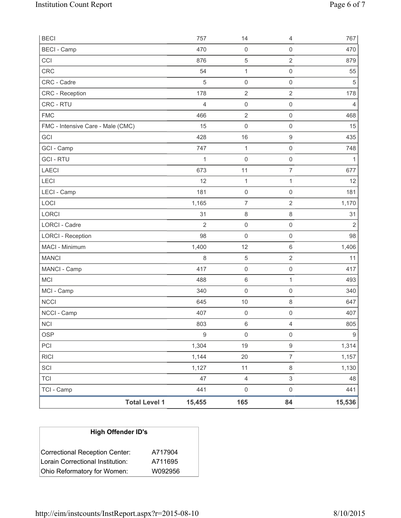| <b>BECI</b>                       |                      | 757              | 14                  | 4                   | 767              |
|-----------------------------------|----------------------|------------------|---------------------|---------------------|------------------|
| <b>BECI</b> - Camp                |                      | 470              | $\mathsf 0$         | $\mathsf{O}\xspace$ | 470              |
| CCI                               |                      | 876              | $\sqrt{5}$          | $\overline{2}$      | 879              |
| CRC                               |                      | 54               | $\mathbf 1$         | $\mathbf 0$         | 55               |
| CRC - Cadre                       |                      | 5                | $\mathsf{O}\xspace$ | $\mathsf{O}\xspace$ | $\sqrt{5}$       |
| CRC - Reception                   |                      | 178              | $\mathbf 2$         | $\overline{2}$      | 178              |
| CRC - RTU                         |                      | $\overline{4}$   | $\mathsf{O}\xspace$ | $\mathsf{O}\xspace$ | 4                |
| <b>FMC</b>                        |                      | 466              | $\overline{2}$      | $\mathsf{O}\xspace$ | 468              |
| FMC - Intensive Care - Male (CMC) |                      | 15               | $\mathsf{O}\xspace$ | $\mathbf 0$         | 15               |
| GCI                               |                      | 428              | 16                  | $\hbox{9}$          | 435              |
| GCI - Camp                        |                      | 747              | $\mathbf 1$         | $\mathsf{O}\xspace$ | 748              |
| <b>GCI - RTU</b>                  |                      | 1                | $\mathbf 0$         | $\mathsf 0$         | $\mathbf{1}$     |
| <b>LAECI</b>                      |                      | 673              | 11                  | $\overline{7}$      | 677              |
| LECI                              |                      | 12               | $\mathbf 1$         | 1                   | 12               |
| LECI - Camp                       |                      | 181              | $\mathsf{O}\xspace$ | $\mathsf{O}\xspace$ | 181              |
| LOCI                              |                      | 1,165            | $\overline{7}$      | $\overline{2}$      | 1,170            |
| LORCI                             |                      | 31               | 8                   | $\,8\,$             | 31               |
| LORCI - Cadre                     |                      | $\overline{2}$   | $\mathsf{O}\xspace$ | $\mathsf 0$         | $\overline{2}$   |
| <b>LORCI - Reception</b>          |                      | 98               | $\mathsf{O}\xspace$ | $\mathbf 0$         | 98               |
| MACI - Minimum                    |                      | 1,400            | 12                  | $\,6\,$             | 1,406            |
| <b>MANCI</b>                      |                      | 8                | $\mathbf 5$         | $\overline{2}$      | 11               |
| MANCI - Camp                      |                      | 417              | $\mathsf{O}\xspace$ | $\mathsf 0$         | 417              |
| MCI                               |                      | 488              | $\,6\,$             | $\mathbf{1}$        | 493              |
| MCI - Camp                        |                      | 340              | $\mathsf{O}\xspace$ | $\mathsf{O}\xspace$ | 340              |
| <b>NCCI</b>                       |                      | 645              | 10                  | 8                   | 647              |
| NCCI - Camp                       |                      | 407              | $\mathbf 0$         | $\mathsf{O}\xspace$ | 407              |
| <b>NCI</b>                        |                      | 803              | 6                   | 4                   | 805              |
| <b>OSP</b>                        |                      | $\boldsymbol{9}$ | $\mathsf 0$         | $\mathsf{O}\xspace$ | $\boldsymbol{9}$ |
| PCI                               |                      | 1,304            | 19                  | 9                   | 1,314            |
| <b>RICI</b>                       |                      | 1,144            | 20                  | $\overline{7}$      | 1,157            |
| SCI                               |                      | 1,127            | 11                  | $\,8\,$             | 1,130            |
| <b>TCI</b>                        |                      | 47               | $\overline{4}$      | 3                   | 48               |
| TCI - Camp                        |                      | 441              | $\mathsf{O}\xspace$ | $\mathsf{O}\xspace$ | 441              |
|                                   | <b>Total Level 1</b> | 15,455           | 165                 | 84                  | 15,536           |

| <b>High Offender ID's</b>        |         |  |  |  |  |
|----------------------------------|---------|--|--|--|--|
| Correctional Reception Center:   | A717904 |  |  |  |  |
| Lorain Correctional Institution: | A711695 |  |  |  |  |
| Ohio Reformatory for Women:      | W092956 |  |  |  |  |